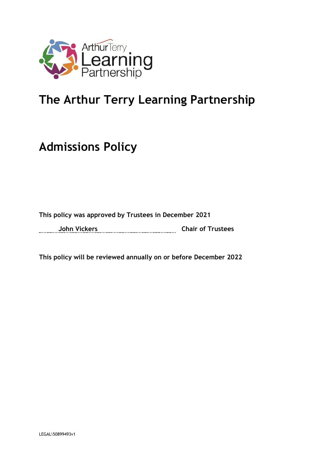

# **The Arthur Terry Learning Partnership**

# **Admissions Policy**

# **This policy was approved by Trustees in December 2021**

**John Vickers Chair of Trustees**

**This policy will be reviewed annually on or before December 2022**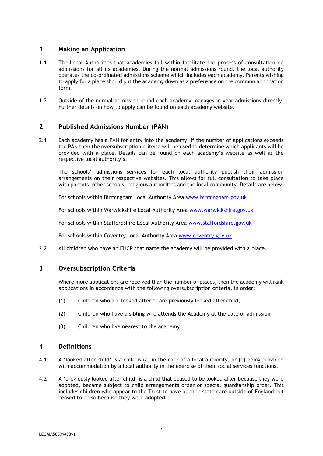# **1 Making an Application**

- 1.1 The Local Authorities that academies fall within facilitate the process of consultation on admissions for all its academies. During the normal admissions round, the local authority operates the co-ordinated admissions scheme which includes each academy. Parents wishing to apply for a place should put the academy down as a preference on the common application form.
- 1.2 Outside of the normal admission round each academy manages in year admissions directly. Further details on how to apply can be found on each academy website.

# **2 Published Admissions Number (PAN)**

2.1 Each academy has a PAN for entry into the academy. If the number of applications exceeds the PAN then the oversubscription criteria will be used to determine which applicants will be provided with a place. Details can be found on each academy's website as well as the respective local authority's.

The schools' admissions services for each local authority publish their admission arrangements on their respective websites. This allows for full consultation to take place with parents, other schools, religious authorities and the local community. Details are below.

For schools within Birmingham Local Authority Area [www.birmingham.gov.uk](http://www.birmingham.gov.uk/)

For schools within Warwickshire Local Authority Area [www.warwickshire.gov.uk](http://www.warwickshire.gov.uk/)

For schools within Staffordshire Local Authority Area [www.staffordshire.gov.uk](http://www.staffordshire.gov.uk/)

For schools within Coventry Local Authority Area [www.coventry.gov.uk](http://www.coventry.gov.uk/)

2.2 All children who have an EHCP that name the academy will be provided with a place.

### **3 Oversubscription Criteria**

Where more applications are received than the number of places, then the academy will rank applications in accordance with the following oversubscription criteria, in order:

- (1) Children who are looked after or are previously looked after child;
- (2) Children who have a sibling who attends the Academy at the date of admission
- (3) Children who live nearest to the academy

#### **4 Definitions**

- 4.1 A 'looked after child' is a child is (a) in the care of a local authority, or (b) being provided with accommodation by a local authority in the exercise of their social services functions.
- 4.2 A 'previously looked after child' is a child that ceased to be looked after because they were adopted, became subject to child arrangements order or special guardianship order. This includes children who appear to the Trust to have been in state care outside of England but ceased to be so because they were adopted.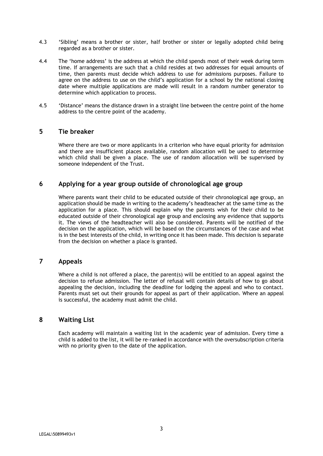- 4.3 'Sibling' means a brother or sister, half brother or sister or legally adopted child being regarded as a brother or sister.
- 4.4 The 'home address' is the address at which the child spends most of their week during term time. If arrangements are such that a child resides at two addresses for equal amounts of time, then parents must decide which address to use for admissions purposes. Failure to agree on the address to use on the child's application for a school by the national closing date where multiple applications are made will result in a random number generator to determine which application to process.
- 4.5 'Distance' means the distance drawn in a straight line between the centre point of the home address to the centre point of the academy.

#### **5 Tie breaker**

Where there are two or more applicants in a criterion who have equal priority for admission and there are insufficient places available, random allocation will be used to determine which child shall be given a place. The use of random allocation will be supervised by someone independent of the Trust.

#### **6 Applying for a year group outside of chronological age group**

Where parents want their child to be educated outside of their chronological age group, an application should be made in writing to the academy's headteacher at the same time as the application for a place. This should explain why the parents wish for their child to be educated outside of their chronological age group and enclosing any evidence that supports it. The views of the headteacher will also be considered. Parents will be notified of the decision on the application, which will be based on the circumstances of the case and what is in the best interests of the child, in writing once it has been made. This decision is separate from the decision on whether a place is granted.

# **7 Appeals**

Where a child is not offered a place, the parent(s) will be entitled to an appeal against the decision to refuse admission. The letter of refusal will contain details of how to go about appealing the decision, including the deadline for lodging the appeal and who to contact. Parents must set out their grounds for appeal as part of their application. Where an appeal is successful, the academy must admit the child.

#### **8 Waiting List**

Each academy will maintain a waiting list in the academic year of admission. Every time a child is added to the list, it will be re-ranked in accordance with the oversubscription criteria with no priority given to the date of the application.